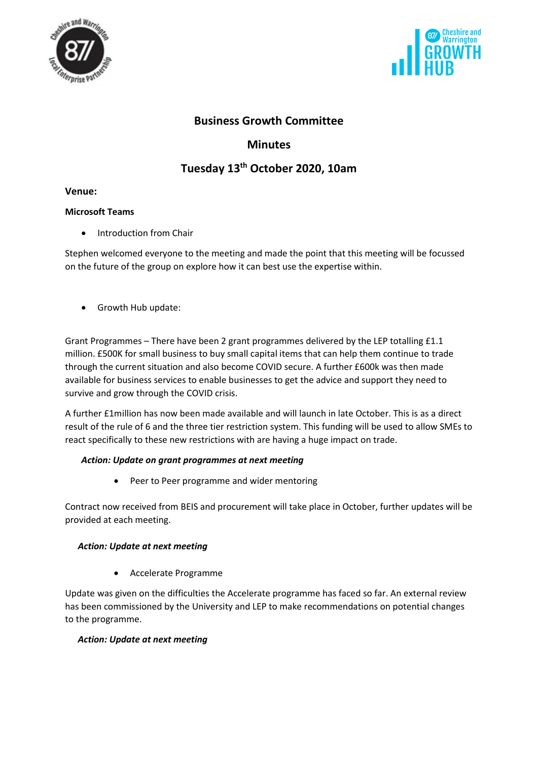



# **Business Growth Committee**

# **Minutes**

# **Tuesday 13th October 2020, 10am**

#### **Venue:**

## **Microsoft Teams**

• Introduction from Chair

Stephen welcomed everyone to the meeting and made the point that this meeting will be focussed on the future of the group on explore how it can best use the expertise within.

• Growth Hub update:

Grant Programmes – There have been 2 grant programmes delivered by the LEP totalling £1.1 million. £500K for small business to buy small capital items that can help them continue to trade through the current situation and also become COVID secure. A further £600k was then made available for business services to enable businesses to get the advice and support they need to survive and grow through the COVID crisis.

A further £1million has now been made available and will launch in late October. This is as a direct result of the rule of 6 and the three tier restriction system. This funding will be used to allow SMEs to react specifically to these new restrictions with are having a huge impact on trade.

# *Action: Update on grant programmes at next meeting*

• Peer to Peer programme and wider mentoring

Contract now received from BEIS and procurement will take place in October, further updates will be provided at each meeting.

# *Action: Update at next meeting*

• Accelerate Programme

Update was given on the difficulties the Accelerate programme has faced so far. An external review has been commissioned by the University and LEP to make recommendations on potential changes to the programme.

# *Action: Update at next meeting*